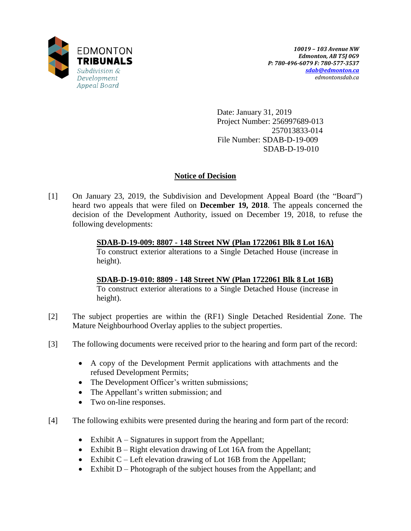

Date: January 31, 2019 Project Number: 256997689-013 257013833-014 File Number: SDAB-D-19-009 SDAB-D-19-010

# **Notice of Decision**

[1] On January 23, 2019, the Subdivision and Development Appeal Board (the "Board") heard two appeals that were filed on **December 19, 2018**. The appeals concerned the decision of the Development Authority, issued on December 19, 2018, to refuse the following developments:

> **SDAB-D-19-009: 8807 - 148 Street NW (Plan 1722061 Blk 8 Lot 16A)** To construct exterior alterations to a Single Detached House (increase in height).

> **SDAB-D-19-010: 8809 - 148 Street NW (Plan 1722061 Blk 8 Lot 16B)** To construct exterior alterations to a Single Detached House (increase in height).

- [2] The subject properties are within the (RF1) Single Detached Residential Zone. The Mature Neighbourhood Overlay applies to the subject properties.
- [3] The following documents were received prior to the hearing and form part of the record:
	- A copy of the Development Permit applications with attachments and the refused Development Permits;
	- The Development Officer's written submissions;
	- The Appellant's written submission; and
	- Two on-line responses.
- [4] The following exhibits were presented during the hearing and form part of the record:
	- Exhibit  $A -$  Signatures in support from the Appellant;
	- Exhibit B Right elevation drawing of Lot 16A from the Appellant;
	- Exhibit  $C$  Left elevation drawing of Lot 16B from the Appellant;
	- Exhibit  $D -$ Photograph of the subject houses from the Appellant; and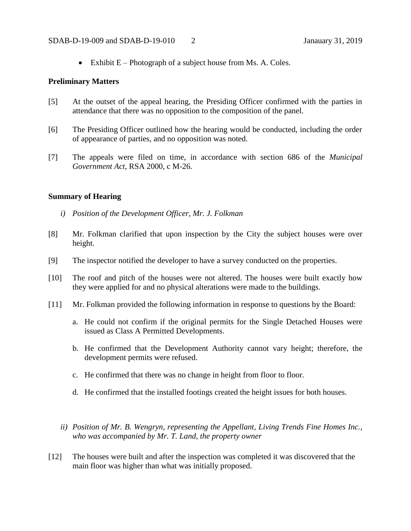Exhibit  $E$  – Photograph of a subject house from Ms. A. Coles.

### **Preliminary Matters**

- [5] At the outset of the appeal hearing, the Presiding Officer confirmed with the parties in attendance that there was no opposition to the composition of the panel.
- [6] The Presiding Officer outlined how the hearing would be conducted, including the order of appearance of parties, and no opposition was noted.
- [7] The appeals were filed on time, in accordance with section 686 of the *Municipal Government Act*, RSA 2000, c M-26.

## **Summary of Hearing**

- *i) Position of the Development Officer, Mr. J. Folkman*
- [8] Mr. Folkman clarified that upon inspection by the City the subject houses were over height.
- [9] The inspector notified the developer to have a survey conducted on the properties.
- [10] The roof and pitch of the houses were not altered. The houses were built exactly how they were applied for and no physical alterations were made to the buildings.
- [11] Mr. Folkman provided the following information in response to questions by the Board:
	- a. He could not confirm if the original permits for the Single Detached Houses were issued as Class A Permitted Developments.
	- b. He confirmed that the Development Authority cannot vary height; therefore, the development permits were refused.
	- c. He confirmed that there was no change in height from floor to floor.
	- d. He confirmed that the installed footings created the height issues for both houses.
	- *ii) Position of Mr. B. Wengryn, representing the Appellant, Living Trends Fine Homes Inc., who was accompanied by Mr. T. Land, the property owner*
- [12] The houses were built and after the inspection was completed it was discovered that the main floor was higher than what was initially proposed.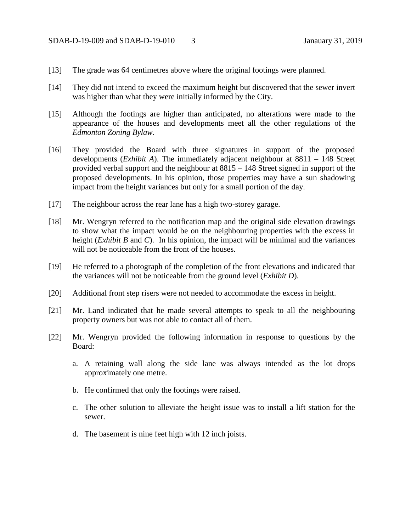- [13] The grade was 64 centimetres above where the original footings were planned.
- [14] They did not intend to exceed the maximum height but discovered that the sewer invert was higher than what they were initially informed by the City.
- [15] Although the footings are higher than anticipated, no alterations were made to the appearance of the houses and developments meet all the other regulations of the *Edmonton Zoning Bylaw*.
- [16] They provided the Board with three signatures in support of the proposed developments (*Exhibit A*). The immediately adjacent neighbour at 8811 – 148 Street provided verbal support and the neighbour at 8815 – 148 Street signed in support of the proposed developments. In his opinion, those properties may have a sun shadowing impact from the height variances but only for a small portion of the day.
- [17] The neighbour across the rear lane has a high two-storey garage.
- [18] Mr. Wengryn referred to the notification map and the original side elevation drawings to show what the impact would be on the neighbouring properties with the excess in height (*Exhibit B* and *C*). In his opinion, the impact will be minimal and the variances will not be noticeable from the front of the houses.
- [19] He referred to a photograph of the completion of the front elevations and indicated that the variances will not be noticeable from the ground level (*Exhibit D*).
- [20] Additional front step risers were not needed to accommodate the excess in height.
- [21] Mr. Land indicated that he made several attempts to speak to all the neighbouring property owners but was not able to contact all of them.
- [22] Mr. Wengryn provided the following information in response to questions by the Board:
	- a. A retaining wall along the side lane was always intended as the lot drops approximately one metre.
	- b. He confirmed that only the footings were raised.
	- c. The other solution to alleviate the height issue was to install a lift station for the sewer.
	- d. The basement is nine feet high with 12 inch joists.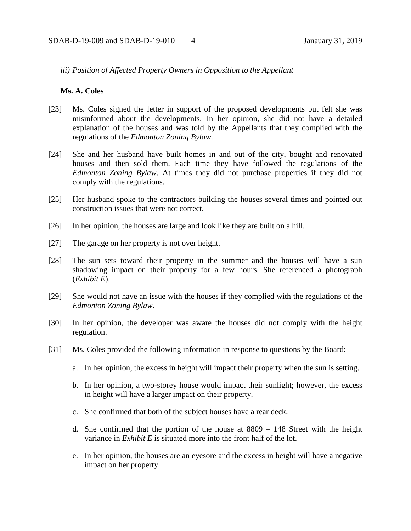## *iii) Position of Affected Property Owners in Opposition to the Appellant*

#### **Ms. A. Coles**

- [23] Ms. Coles signed the letter in support of the proposed developments but felt she was misinformed about the developments. In her opinion, she did not have a detailed explanation of the houses and was told by the Appellants that they complied with the regulations of the *Edmonton Zoning Bylaw*.
- [24] She and her husband have built homes in and out of the city, bought and renovated houses and then sold them. Each time they have followed the regulations of the *Edmonton Zoning Bylaw*. At times they did not purchase properties if they did not comply with the regulations.
- [25] Her husband spoke to the contractors building the houses several times and pointed out construction issues that were not correct.
- [26] In her opinion, the houses are large and look like they are built on a hill.
- [27] The garage on her property is not over height.
- [28] The sun sets toward their property in the summer and the houses will have a sun shadowing impact on their property for a few hours. She referenced a photograph (*Exhibit E*).
- [29] She would not have an issue with the houses if they complied with the regulations of the *Edmonton Zoning Bylaw*.
- [30] In her opinion, the developer was aware the houses did not comply with the height regulation.
- [31] Ms. Coles provided the following information in response to questions by the Board:
	- a. In her opinion, the excess in height will impact their property when the sun is setting.
	- b. In her opinion, a two-storey house would impact their sunlight; however, the excess in height will have a larger impact on their property.
	- c. She confirmed that both of the subject houses have a rear deck.
	- d. She confirmed that the portion of the house at 8809 148 Street with the height variance in *Exhibit E* is situated more into the front half of the lot.
	- e. In her opinion, the houses are an eyesore and the excess in height will have a negative impact on her property.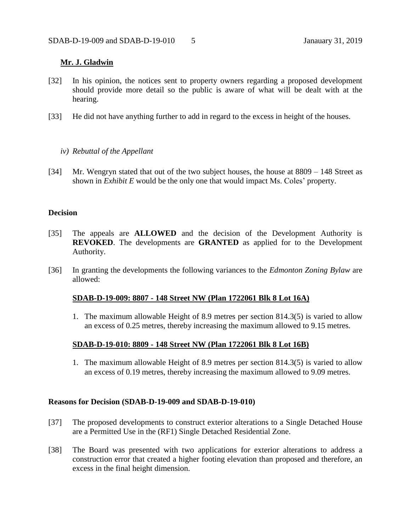## **Mr. J. Gladwin**

- [32] In his opinion, the notices sent to property owners regarding a proposed development should provide more detail so the public is aware of what will be dealt with at the hearing.
- [33] He did not have anything further to add in regard to the excess in height of the houses.
	- *iv) Rebuttal of the Appellant*
- [34] Mr. Wengryn stated that out of the two subject houses, the house at 8809 148 Street as shown in *Exhibit E* would be the only one that would impact Ms. Coles' property.

#### **Decision**

- [35] The appeals are **ALLOWED** and the decision of the Development Authority is **REVOKED**. The developments are **GRANTED** as applied for to the Development Authority.
- [36] In granting the developments the following variances to the *Edmonton Zoning Bylaw* are allowed:

#### **SDAB-D-19-009: 8807 - 148 Street NW (Plan 1722061 Blk 8 Lot 16A)**

1. The maximum allowable Height of 8.9 metres per section 814.3(5) is varied to allow an excess of 0.25 metres, thereby increasing the maximum allowed to 9.15 metres.

## **SDAB-D-19-010: 8809 - 148 Street NW (Plan 1722061 Blk 8 Lot 16B)**

1. The maximum allowable Height of 8.9 metres per section 814.3(5) is varied to allow an excess of 0.19 metres, thereby increasing the maximum allowed to 9.09 metres.

#### **Reasons for Decision (SDAB-D-19-009 and SDAB-D-19-010)**

- [37] The proposed developments to construct exterior alterations to a Single Detached House are a Permitted Use in the (RF1) Single Detached Residential Zone.
- [38] The Board was presented with two applications for exterior alterations to address a construction error that created a higher footing elevation than proposed and therefore, an excess in the final height dimension.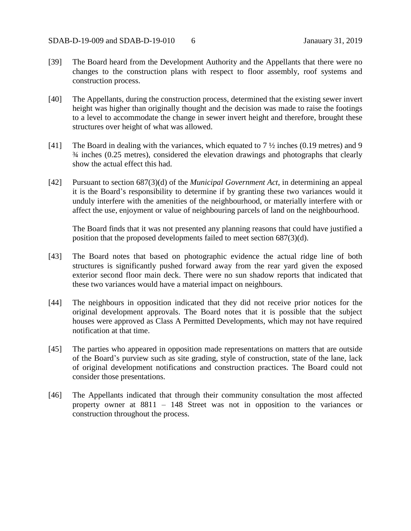- [39] The Board heard from the Development Authority and the Appellants that there were no changes to the construction plans with respect to floor assembly, roof systems and construction process.
- [40] The Appellants, during the construction process, determined that the existing sewer invert height was higher than originally thought and the decision was made to raise the footings to a level to accommodate the change in sewer invert height and therefore, brought these structures over height of what was allowed.
- [41] The Board in dealing with the variances, which equated to 7  $\frac{1}{2}$  inches (0.19 metres) and 9 ¾ inches (0.25 metres), considered the elevation drawings and photographs that clearly show the actual effect this had.
- [42] Pursuant to section 687(3)(d) of the *Municipal Government Act*, in determining an appeal it is the Board's responsibility to determine if by granting these two variances would it unduly interfere with the amenities of the neighbourhood, or materially interfere with or affect the use, enjoyment or value of neighbouring parcels of land on the neighbourhood.

The Board finds that it was not presented any planning reasons that could have justified a position that the proposed developments failed to meet section 687(3)(d).

- [43] The Board notes that based on photographic evidence the actual ridge line of both structures is significantly pushed forward away from the rear yard given the exposed exterior second floor main deck. There were no sun shadow reports that indicated that these two variances would have a material impact on neighbours.
- [44] The neighbours in opposition indicated that they did not receive prior notices for the original development approvals. The Board notes that it is possible that the subject houses were approved as Class A Permitted Developments, which may not have required notification at that time.
- [45] The parties who appeared in opposition made representations on matters that are outside of the Board's purview such as site grading, style of construction, state of the lane, lack of original development notifications and construction practices. The Board could not consider those presentations.
- [46] The Appellants indicated that through their community consultation the most affected property owner at 8811 – 148 Street was not in opposition to the variances or construction throughout the process.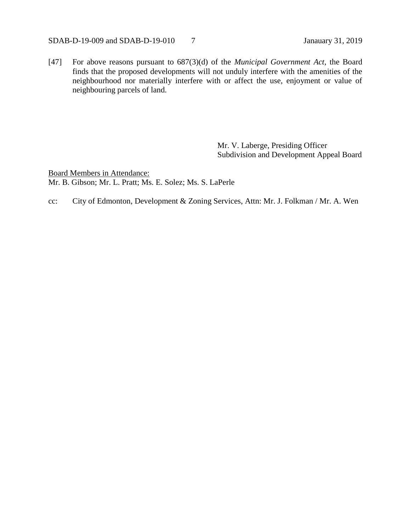### SDAB-D-19-009 and SDAB-D-19-010 7 Janauary 31, 2019

[47] For above reasons pursuant to 687(3)(d) of the *Municipal Government Act*, the Board finds that the proposed developments will not unduly interfere with the amenities of the neighbourhood nor materially interfere with or affect the use, enjoyment or value of neighbouring parcels of land.

> Mr. V. Laberge, Presiding Officer Subdivision and Development Appeal Board

Board Members in Attendance: Mr. B. Gibson; Mr. L. Pratt; Ms. E. Solez; Ms. S. LaPerle

cc: City of Edmonton, Development & Zoning Services, Attn: Mr. J. Folkman / Mr. A. Wen